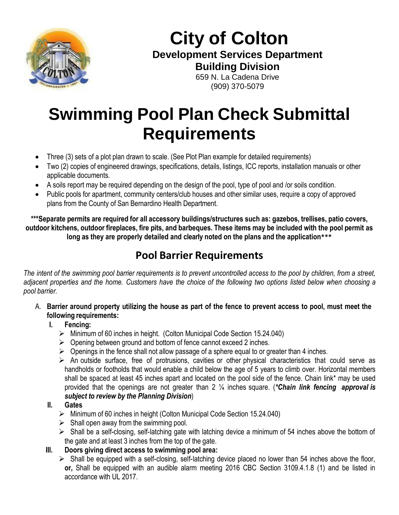

**City of Colton Development Services Department Building Division** 659 N. La Cadena Drive

(909) 370-5079

## **Swimming Pool Plan Check Submittal Requirements**

- Three (3) sets of a plot plan drawn to scale. (See Plot Plan example for detailed requirements)
- Two (2) copies of engineered drawings, specifications, details, listings, ICC reports, installation manuals or other applicable documents.
- A soils report may be required depending on the design of the pool, type of pool and /or soils condition.
- Public pools for apartment, community centers/club houses and other similar uses, require a copy of approved plans from the County of San Bernardino Health Department.

**\*\*\*Separate permits are required for all accessory buildings/structures such as: gazebos, trellises, patio covers,** outdoor kitchens, outdoor fireplaces, fire pits, and barbeques. These items may be included with the pool permit as **long as they are properly detailed and clearly noted on the plans and the application\*\*\***

## **Pool Barrier Requirements**

The intent of the swimming pool barrier requirements is to prevent uncontrolled access to the pool by children, from a street, adjacent properties and the home. Customers have the choice of the following two options listed below when choosing a *pool barrier.*

- A. Barrier around property utilizing the house as part of the fence to prevent access to pool, must meet the **following requirements:**
	- **I. Fencing:**
		- $\triangleright$  Minimum of 60 inches in height. (Colton Municipal Code Section 15.24.040)
		- $\triangleright$  Opening between ground and bottom of fence cannot exceed 2 inches.
		- $\triangleright$  Openings in the fence shall not allow passage of a sphere equal to or greater than 4 inches.
		- $\triangleright$  An outside surface, free of protrusions, cavities or other physical characteristics that could serve as handholds or footholds that would enable a child below the age of 5 years to climb over. Horizontal members shall be spaced at least 45 inches apart and located on the pool side of the fence. Chain link\* may be used provided that the openings are not greater than 2 ¼ inches square. (*\*Chain link fencing approval is subject to review by the Planning Division*)

## **II. Gates**

- $\triangleright$  Minimum of 60 inches in height (Colton Municipal Code Section 15.24.040)
- $\triangleright$  Shall open away from the swimming pool.
- $\triangleright$  Shall be a self-closing, self-latching gate with latching device a minimum of 54 inches above the bottom of the gate and at least 3 inches from the top of the gate.
- **III. Doors giving direct access to swimming pool area:**

 $\triangleright$  Shall be equipped with a self-closing, self-latching device placed no lower than 54 inches above the floor, **or,** Shall be equipped with an audible alarm meeting 2016 CBC Section 3109.4.1.8 (1) and be listed in accordance with UL 2017.